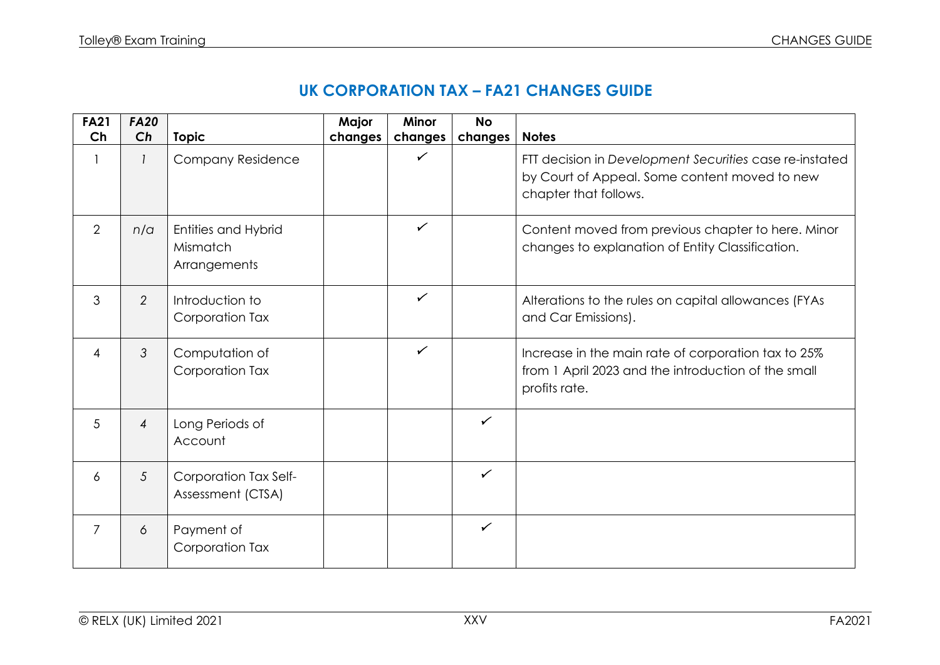| UK CORPORATION TAX - FA21 CHANGES GUIDE |  |  |  |
|-----------------------------------------|--|--|--|
|-----------------------------------------|--|--|--|

| <b>FA21</b><br>Ch | <b>FA20</b><br>Ch |                                                 | Major   | <b>Minor</b>            | <b>No</b>    | <b>Notes</b>                                                                                                                      |
|-------------------|-------------------|-------------------------------------------------|---------|-------------------------|--------------|-----------------------------------------------------------------------------------------------------------------------------------|
|                   |                   | <b>Topic</b><br><b>Company Residence</b>        | changes | changes<br>$\checkmark$ | changes      | FTT decision in Development Securities case re-instated<br>by Court of Appeal. Some content moved to new<br>chapter that follows. |
| 2                 | n/a               | Entities and Hybrid<br>Mismatch<br>Arrangements |         | $\checkmark$            |              | Content moved from previous chapter to here. Minor<br>changes to explanation of Entity Classification.                            |
| 3                 | 2                 | Introduction to<br>Corporation Tax              |         | $\checkmark$            |              | Alterations to the rules on capital allowances (FYAs<br>and Car Emissions).                                                       |
| $\overline{4}$    | 3                 | Computation of<br>Corporation Tax               |         | $\checkmark$            |              | Increase in the main rate of corporation tax to 25%<br>from 1 April 2023 and the introduction of the small<br>profits rate.       |
| 5                 | $\overline{4}$    | Long Periods of<br>Account                      |         |                         | $\checkmark$ |                                                                                                                                   |
| 6                 | 5                 | Corporation Tax Self-<br>Assessment (CTSA)      |         |                         | $\checkmark$ |                                                                                                                                   |
| 7                 | 6                 | Payment of<br>Corporation Tax                   |         |                         | $\checkmark$ |                                                                                                                                   |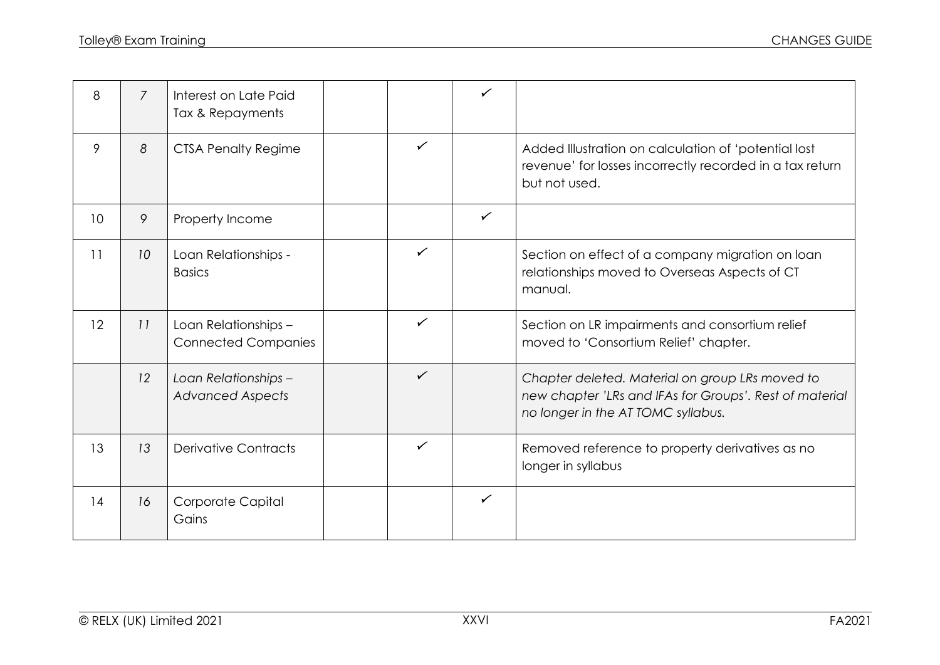| 8  | $\overline{7}$ | Interest on Late Paid<br>Tax & Repayments          |              | ✓            |                                                                                                                                                  |
|----|----------------|----------------------------------------------------|--------------|--------------|--------------------------------------------------------------------------------------------------------------------------------------------------|
| 9  | 8              | <b>CTSA Penalty Regime</b>                         | $\checkmark$ |              | Added Illustration on calculation of 'potential lost<br>revenue' for losses incorrectly recorded in a tax return<br>but not used.                |
| 10 | 9              | Property Income                                    |              | $\checkmark$ |                                                                                                                                                  |
| 11 | 10             | Loan Relationships -<br><b>Basics</b>              | $\checkmark$ |              | Section on effect of a company migration on loan<br>relationships moved to Overseas Aspects of CT<br>manual.                                     |
| 12 | 11             | Loan Relationships -<br><b>Connected Companies</b> | $\checkmark$ |              | Section on LR impairments and consortium relief<br>moved to 'Consortium Relief' chapter.                                                         |
|    | 12             | Loan Relationships -<br><b>Advanced Aspects</b>    | $\checkmark$ |              | Chapter deleted. Material on group LRs moved to<br>new chapter 'LRs and IFAs for Groups'. Rest of material<br>no longer in the AT TOMC syllabus. |
| 13 | 13             | <b>Derivative Contracts</b>                        | $\checkmark$ |              | Removed reference to property derivatives as no<br>longer in syllabus                                                                            |
| 14 | 16             | Corporate Capital<br>Gains                         |              | $\checkmark$ |                                                                                                                                                  |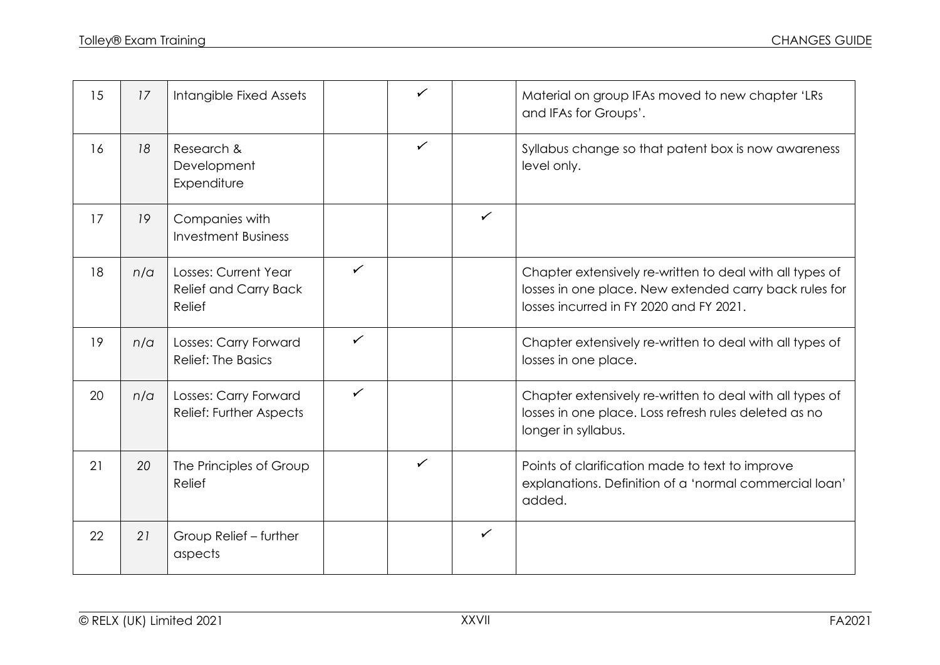| 15 | 17  | Intangible Fixed Assets                                 |              | ✓            |              | Material on group IFAs moved to new chapter 'LRs<br>and IFAs for Groups'.                                                                                     |
|----|-----|---------------------------------------------------------|--------------|--------------|--------------|---------------------------------------------------------------------------------------------------------------------------------------------------------------|
| 16 | 18  | Research &<br>Development<br>Expenditure                |              | $\checkmark$ |              | Syllabus change so that patent box is now awareness<br>level only.                                                                                            |
| 17 | 19  | Companies with<br><b>Investment Business</b>            |              |              | $\checkmark$ |                                                                                                                                                               |
| 18 | n/a | Losses: Current Year<br>Relief and Carry Back<br>Relief | $\checkmark$ |              |              | Chapter extensively re-written to deal with all types of<br>losses in one place. New extended carry back rules for<br>losses incurred in FY 2020 and FY 2021. |
| 19 | n/a | Losses: Carry Forward<br><b>Relief: The Basics</b>      | $\checkmark$ |              |              | Chapter extensively re-written to deal with all types of<br>losses in one place.                                                                              |
| 20 | n/a | Losses: Carry Forward<br>Relief: Further Aspects        | $\checkmark$ |              |              | Chapter extensively re-written to deal with all types of<br>losses in one place. Loss refresh rules deleted as no<br>longer in syllabus.                      |
| 21 | 20  | The Principles of Group<br>Relief                       |              | $\checkmark$ |              | Points of clarification made to text to improve<br>explanations. Definition of a 'normal commercial loan'<br>added.                                           |
| 22 | 21  | Group Relief - further<br>aspects                       |              |              | $\checkmark$ |                                                                                                                                                               |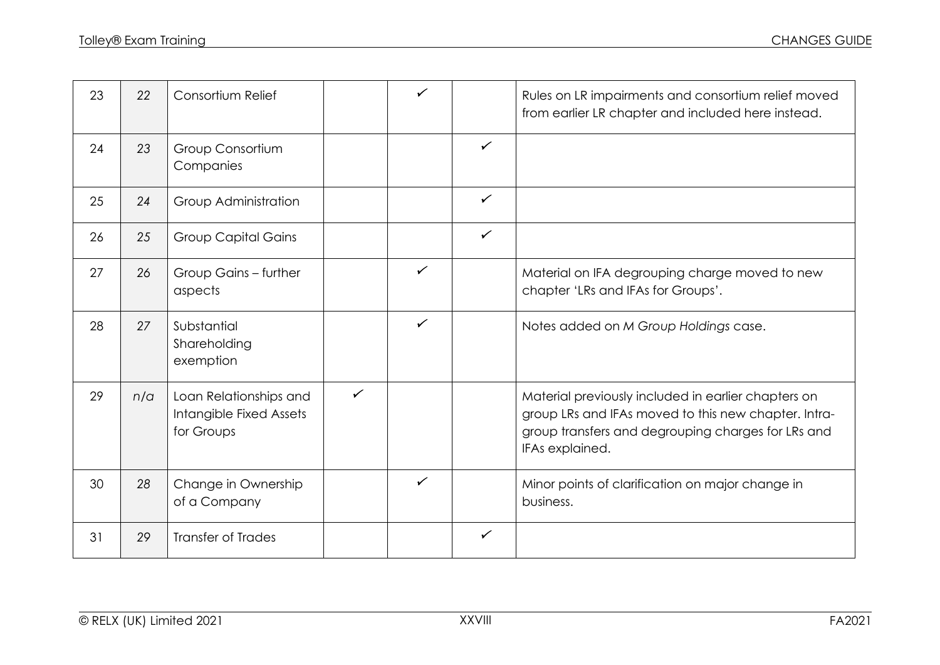| 23 | 22  | Consortium Relief                                               |              | $\checkmark$ |              | Rules on LR impairments and consortium relief moved<br>from earlier LR chapter and included here instead.                                                                            |
|----|-----|-----------------------------------------------------------------|--------------|--------------|--------------|--------------------------------------------------------------------------------------------------------------------------------------------------------------------------------------|
| 24 | 23  | Group Consortium<br>Companies                                   |              |              | $\checkmark$ |                                                                                                                                                                                      |
| 25 | 24  | Group Administration                                            |              |              | $\checkmark$ |                                                                                                                                                                                      |
| 26 | 25  | <b>Group Capital Gains</b>                                      |              |              | $\checkmark$ |                                                                                                                                                                                      |
| 27 | 26  | Group Gains - further<br>aspects                                |              | $\checkmark$ |              | Material on IFA degrouping charge moved to new<br>chapter 'LRs and IFAs for Groups'.                                                                                                 |
| 28 | 27  | Substantial<br>Shareholding<br>exemption                        |              | $\checkmark$ |              | Notes added on M Group Holdings case.                                                                                                                                                |
| 29 | n/a | Loan Relationships and<br>Intangible Fixed Assets<br>for Groups | $\checkmark$ |              |              | Material previously included in earlier chapters on<br>group LRs and IFAs moved to this new chapter. Intra-<br>group transfers and degrouping charges for LRs and<br>IFAs explained. |
| 30 | 28  | Change in Ownership<br>of a Company                             |              | $\checkmark$ |              | Minor points of clarification on major change in<br>business.                                                                                                                        |
| 31 | 29  | <b>Transfer of Trades</b>                                       |              |              | $\checkmark$ |                                                                                                                                                                                      |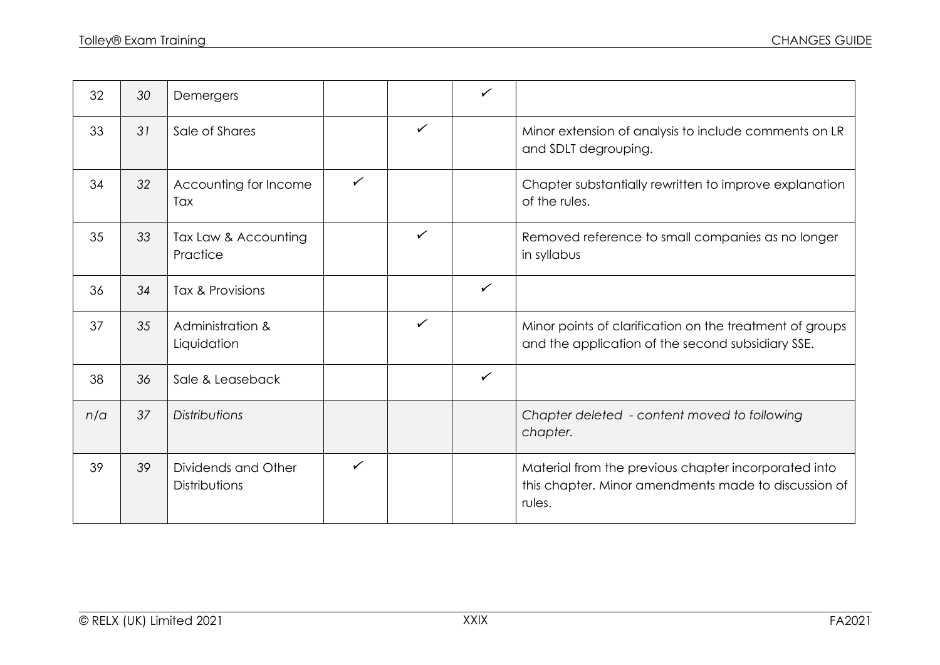| 32  | 30 | Demergers                            |              |              | $\checkmark$ |                                                                                                                        |
|-----|----|--------------------------------------|--------------|--------------|--------------|------------------------------------------------------------------------------------------------------------------------|
| 33  | 31 | Sale of Shares                       |              | $\checkmark$ |              | Minor extension of analysis to include comments on LR<br>and SDLT degrouping.                                          |
| 34  | 32 | Accounting for Income<br>Tax         | $\checkmark$ |              |              | Chapter substantially rewritten to improve explanation<br>of the rules.                                                |
| 35  | 33 | Tax Law & Accounting<br>Practice     |              | $\checkmark$ |              | Removed reference to small companies as no longer<br>in syllabus                                                       |
| 36  | 34 | Tax & Provisions                     |              |              | $\checkmark$ |                                                                                                                        |
| 37  | 35 | Administration &<br>Liquidation      |              | $\checkmark$ |              | Minor points of clarification on the treatment of groups<br>and the application of the second subsidiary SSE.          |
| 38  | 36 | Sale & Leaseback                     |              |              | $\checkmark$ |                                                                                                                        |
| n/a | 37 | <b>Distributions</b>                 |              |              |              | Chapter deleted - content moved to following<br>chapter.                                                               |
| 39  | 39 | Dividends and Other<br>Distributions | $\checkmark$ |              |              | Material from the previous chapter incorporated into<br>this chapter. Minor amendments made to discussion of<br>rules. |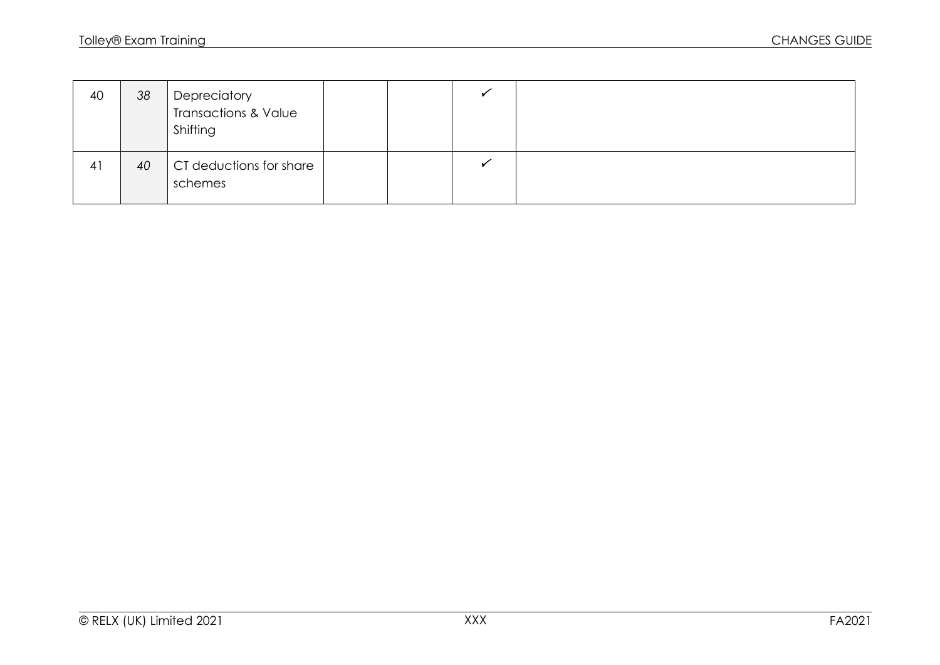| 40 | 38 | Depreciatory<br>  Transactions & Value<br>Shifting |  |  |
|----|----|----------------------------------------------------|--|--|
| 41 | 40 | CT deductions for share<br>schemes                 |  |  |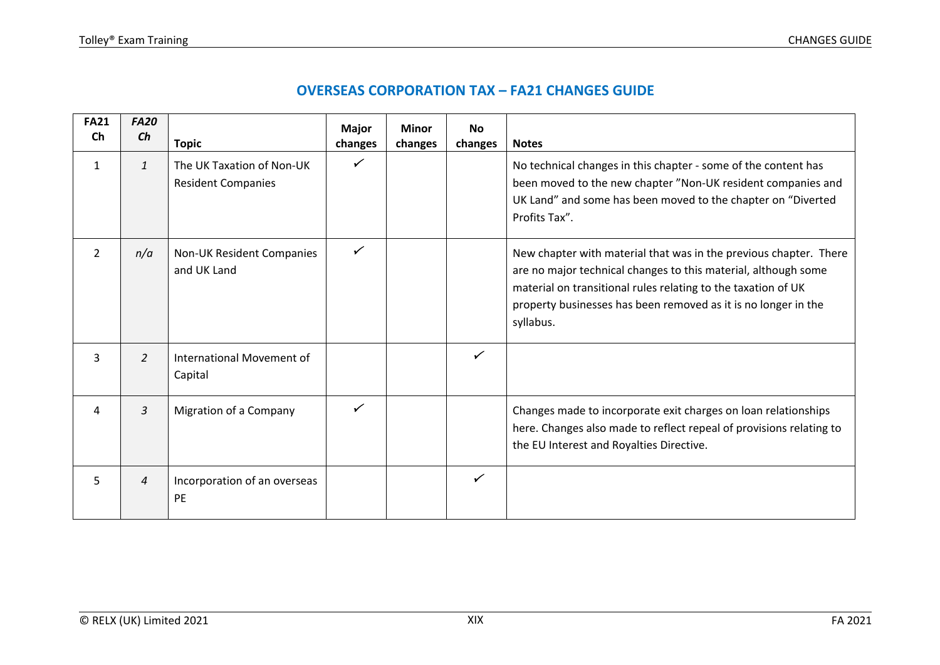| <b>FA21</b>    | <b>FA20</b>    |                                                        | <b>Major</b> | <b>Minor</b> | <b>No</b>    |                                                                                                                                                                                                                                                                                     |
|----------------|----------------|--------------------------------------------------------|--------------|--------------|--------------|-------------------------------------------------------------------------------------------------------------------------------------------------------------------------------------------------------------------------------------------------------------------------------------|
| <b>Ch</b>      | Ch             | <b>Topic</b>                                           | changes      | changes      | changes      | <b>Notes</b>                                                                                                                                                                                                                                                                        |
| 1              | $\mathbf{1}$   | The UK Taxation of Non-UK<br><b>Resident Companies</b> | $\checkmark$ |              |              | No technical changes in this chapter - some of the content has<br>been moved to the new chapter "Non-UK resident companies and<br>UK Land" and some has been moved to the chapter on "Diverted<br>Profits Tax".                                                                     |
| $\overline{2}$ | n/a            | Non-UK Resident Companies<br>and UK Land               | ✓            |              |              | New chapter with material that was in the previous chapter. There<br>are no major technical changes to this material, although some<br>material on transitional rules relating to the taxation of UK<br>property businesses has been removed as it is no longer in the<br>syllabus. |
| 3              | $\overline{2}$ | International Movement of<br>Capital                   |              |              | $\checkmark$ |                                                                                                                                                                                                                                                                                     |
| 4              | $\overline{3}$ | Migration of a Company                                 | ✓            |              |              | Changes made to incorporate exit charges on loan relationships<br>here. Changes also made to reflect repeal of provisions relating to<br>the EU Interest and Royalties Directive.                                                                                                   |
| 5              | $\overline{4}$ | Incorporation of an overseas<br><b>PE</b>              |              |              | ✓            |                                                                                                                                                                                                                                                                                     |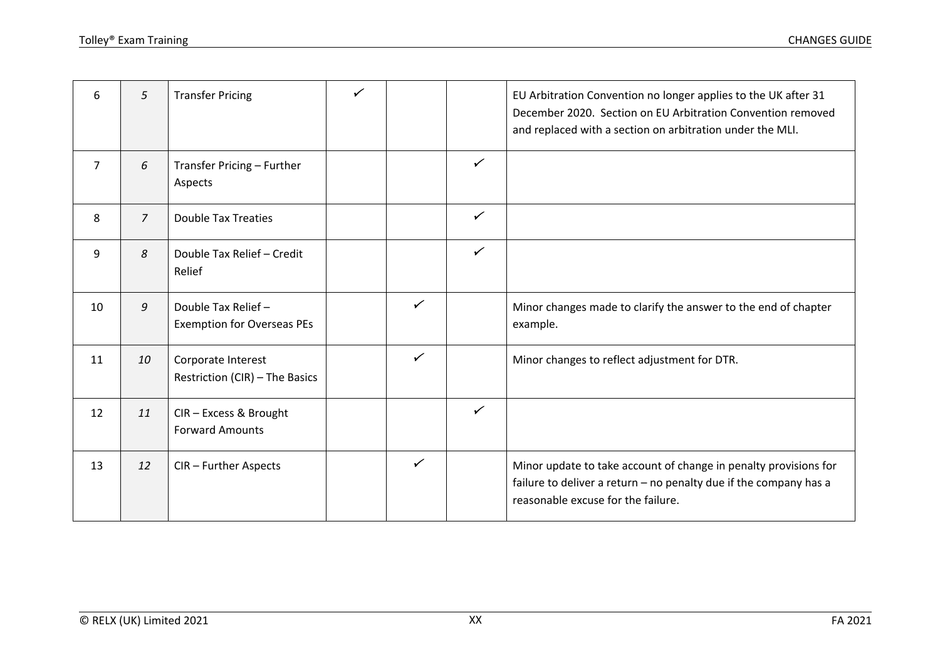| 6              | 5              | <b>Transfer Pricing</b>                                 | ✓ |   |              | EU Arbitration Convention no longer applies to the UK after 31<br>December 2020. Section on EU Arbitration Convention removed<br>and replaced with a section on arbitration under the MLI. |
|----------------|----------------|---------------------------------------------------------|---|---|--------------|--------------------------------------------------------------------------------------------------------------------------------------------------------------------------------------------|
| $\overline{7}$ | 6              | Transfer Pricing - Further<br>Aspects                   |   |   | $\checkmark$ |                                                                                                                                                                                            |
| 8              | $\overline{7}$ | <b>Double Tax Treaties</b>                              |   |   | $\checkmark$ |                                                                                                                                                                                            |
| 9              | 8              | Double Tax Relief - Credit<br>Relief                    |   |   | $\checkmark$ |                                                                                                                                                                                            |
| 10             | 9              | Double Tax Relief-<br><b>Exemption for Overseas PEs</b> |   | ✓ |              | Minor changes made to clarify the answer to the end of chapter<br>example.                                                                                                                 |
| 11             | 10             | Corporate Interest<br>Restriction (CIR) - The Basics    |   | ✓ |              | Minor changes to reflect adjustment for DTR.                                                                                                                                               |
| 12             | 11             | CIR - Excess & Brought<br><b>Forward Amounts</b>        |   |   | $\checkmark$ |                                                                                                                                                                                            |
| 13             | 12             | CIR - Further Aspects                                   |   | ✓ |              | Minor update to take account of change in penalty provisions for<br>failure to deliver a return - no penalty due if the company has a<br>reasonable excuse for the failure.                |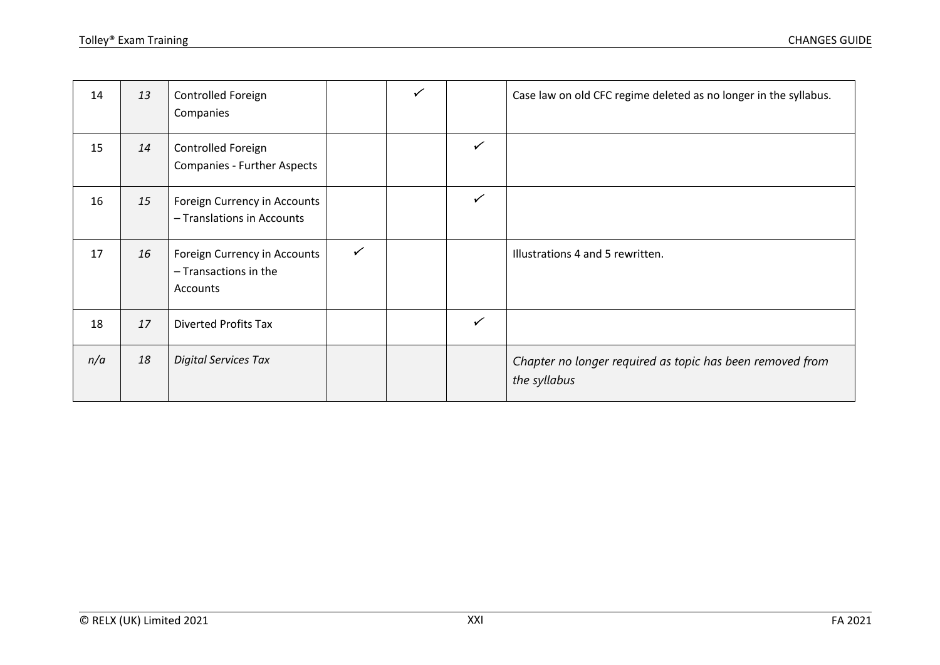| 14  | 13 | Controlled Foreign<br>Companies                                   |              | ✓ |              | Case law on old CFC regime deleted as no longer in the syllabus.          |
|-----|----|-------------------------------------------------------------------|--------------|---|--------------|---------------------------------------------------------------------------|
| 15  | 14 | Controlled Foreign<br>Companies - Further Aspects                 |              |   | $\checkmark$ |                                                                           |
| 16  | 15 | Foreign Currency in Accounts<br>- Translations in Accounts        |              |   | $\checkmark$ |                                                                           |
| 17  | 16 | Foreign Currency in Accounts<br>- Transactions in the<br>Accounts | $\checkmark$ |   |              | Illustrations 4 and 5 rewritten.                                          |
| 18  | 17 | <b>Diverted Profits Tax</b>                                       |              |   | $\checkmark$ |                                                                           |
| n/a | 18 | <b>Digital Services Tax</b>                                       |              |   |              | Chapter no longer required as topic has been removed from<br>the syllabus |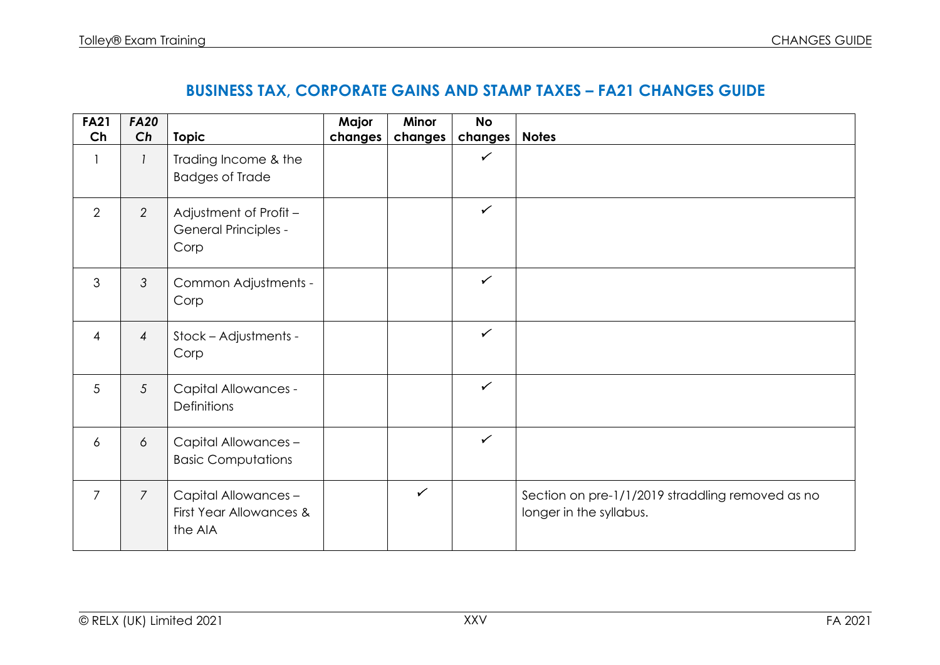## **BUSINESS TAX, CORPORATE GAINS AND STAMP TAXES – FA21 CHANGES GUIDE**

| <b>FA21</b>    | <b>FA20</b>    |                                                               | Major   | Minor        | <b>No</b>    |                                                                             |
|----------------|----------------|---------------------------------------------------------------|---------|--------------|--------------|-----------------------------------------------------------------------------|
| Ch             | Ch             | <b>Topic</b>                                                  | changes | changes      | changes      | <b>Notes</b>                                                                |
| $\mathbf{1}$   | $\mathcal{I}$  | Trading Income & the                                          |         |              | $\checkmark$ |                                                                             |
|                |                | <b>Badges of Trade</b>                                        |         |              |              |                                                                             |
| 2              | 2              | Adjustment of Profit -<br><b>General Principles -</b><br>Corp |         |              | $\checkmark$ |                                                                             |
| 3              | 3              | Common Adjustments -<br>Corp                                  |         |              | $\checkmark$ |                                                                             |
| $\overline{4}$ | $\overline{4}$ | Stock - Adjustments -<br>Corp                                 |         |              | $\checkmark$ |                                                                             |
| 5              | 5              | <b>Capital Allowances -</b><br><b>Definitions</b>             |         |              | $\checkmark$ |                                                                             |
| $\overline{6}$ | 6              | Capital Allowances -<br><b>Basic Computations</b>             |         |              | $\checkmark$ |                                                                             |
| $\overline{7}$ | $\overline{7}$ | Capital Allowances -<br>First Year Allowances &<br>the AIA    |         | $\checkmark$ |              | Section on pre-1/1/2019 straddling removed as no<br>longer in the syllabus. |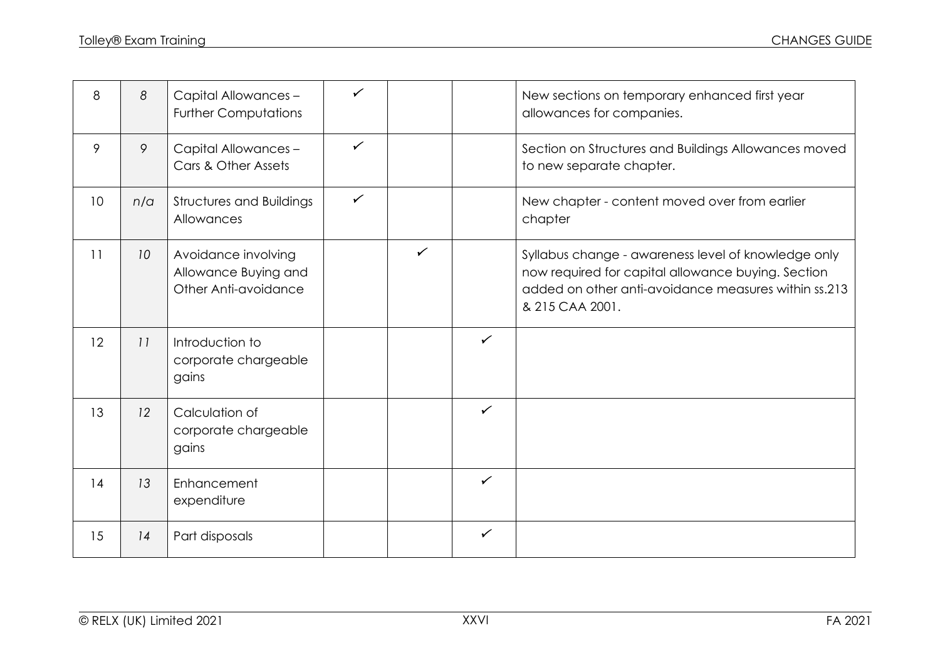| 8               | 8   | Capital Allowances -<br><b>Further Computations</b>                 | ✓            |              |              | New sections on temporary enhanced first year<br>allowances for companies.                                                                                                           |
|-----------------|-----|---------------------------------------------------------------------|--------------|--------------|--------------|--------------------------------------------------------------------------------------------------------------------------------------------------------------------------------------|
| 9               | 9   | Capital Allowances -<br>Cars & Other Assets                         | $\checkmark$ |              |              | Section on Structures and Buildings Allowances moved<br>to new separate chapter.                                                                                                     |
| 10 <sup>°</sup> | n/a | <b>Structures and Buildings</b><br>Allowances                       | $\checkmark$ |              |              | New chapter - content moved over from earlier<br>chapter                                                                                                                             |
| 11              | 10  | Avoidance involving<br>Allowance Buying and<br>Other Anti-avoidance |              | $\checkmark$ |              | Syllabus change - awareness level of knowledge only<br>now required for capital allowance buying. Section<br>added on other anti-avoidance measures within ss.213<br>& 215 CAA 2001. |
| 12              | 11  | Introduction to<br>corporate chargeable<br>gains                    |              |              | $\checkmark$ |                                                                                                                                                                                      |
| 13              | 12  | Calculation of<br>corporate chargeable<br>gains                     |              |              | $\checkmark$ |                                                                                                                                                                                      |
| 14              | 13  | Enhancement<br>expenditure                                          |              |              | $\checkmark$ |                                                                                                                                                                                      |
| 15              | 14  | Part disposals                                                      |              |              | $\checkmark$ |                                                                                                                                                                                      |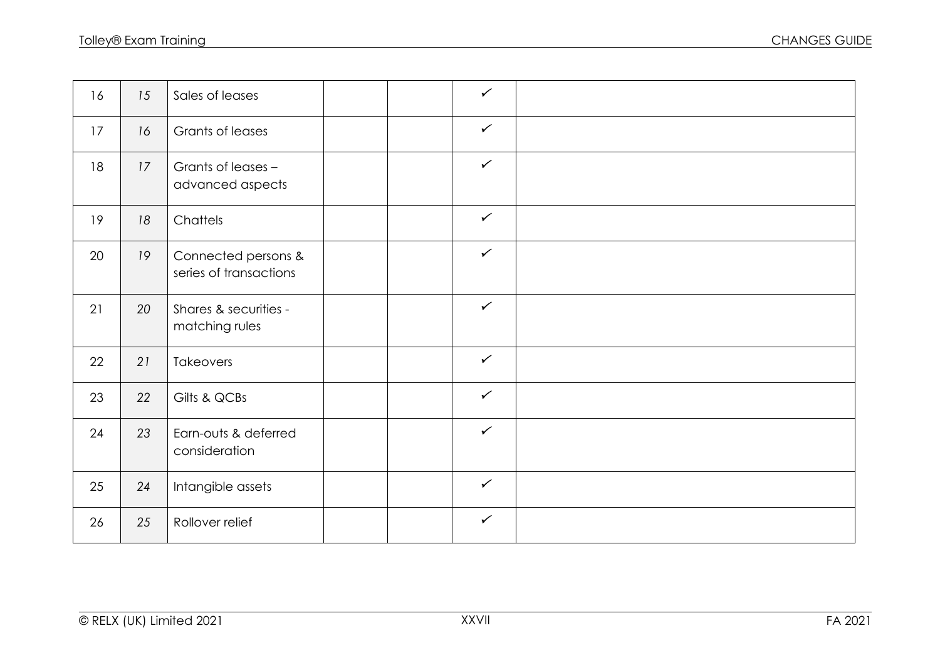| 16 | 15 | Sales of leases                               |  | $\checkmark$ |  |
|----|----|-----------------------------------------------|--|--------------|--|
| 17 | 16 | Grants of leases                              |  | $\checkmark$ |  |
| 18 | 17 | Grants of leases -<br>advanced aspects        |  | $\checkmark$ |  |
| 19 | 18 | Chattels                                      |  | $\checkmark$ |  |
| 20 | 19 | Connected persons &<br>series of transactions |  | $\checkmark$ |  |
| 21 | 20 | Shares & securities -<br>matching rules       |  | $\checkmark$ |  |
| 22 | 21 | <b>Takeovers</b>                              |  | $\checkmark$ |  |
| 23 | 22 | Gilts & QCBs                                  |  | $\checkmark$ |  |
| 24 | 23 | Earn-outs & deferred<br>consideration         |  | $\checkmark$ |  |
| 25 | 24 | Intangible assets                             |  | $\checkmark$ |  |
| 26 | 25 | Rollover relief                               |  | $\checkmark$ |  |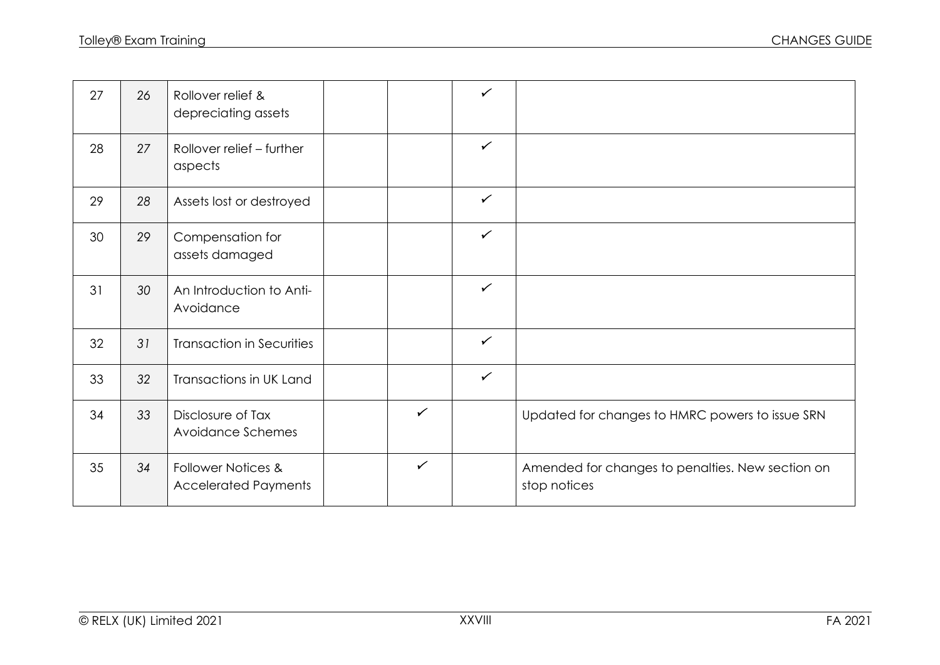| 27 | 26 | Rollover relief &<br>depreciating assets          |              | $\checkmark$ |                                                                  |
|----|----|---------------------------------------------------|--------------|--------------|------------------------------------------------------------------|
| 28 | 27 | Rollover relief - further<br>aspects              |              | $\checkmark$ |                                                                  |
| 29 | 28 | Assets lost or destroyed                          |              | $\checkmark$ |                                                                  |
| 30 | 29 | Compensation for<br>assets damaged                |              | $\checkmark$ |                                                                  |
| 31 | 30 | An Introduction to Anti-<br>Avoidance             |              | $\checkmark$ |                                                                  |
| 32 | 31 | <b>Transaction in Securities</b>                  |              | $\checkmark$ |                                                                  |
| 33 | 32 | Transactions in UK Land                           |              | $\checkmark$ |                                                                  |
| 34 | 33 | Disclosure of Tax<br>Avoidance Schemes            | $\checkmark$ |              | Updated for changes to HMRC powers to issue SRN                  |
| 35 | 34 | Follower Notices &<br><b>Accelerated Payments</b> | $\checkmark$ |              | Amended for changes to penalties. New section on<br>stop notices |